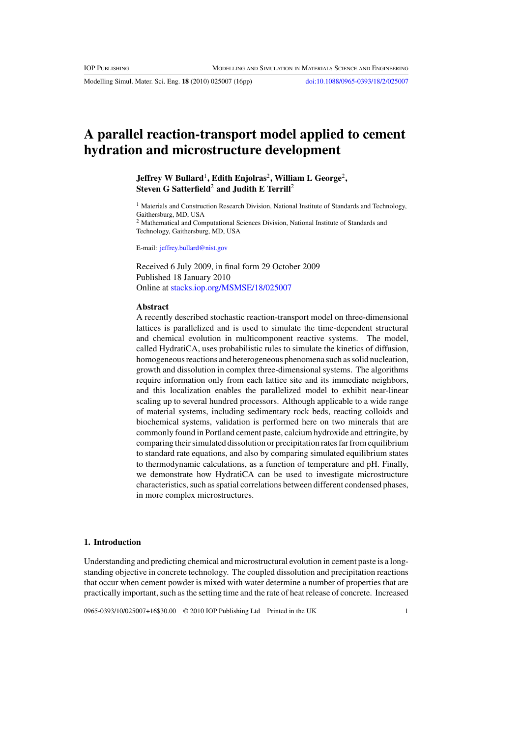Modelling Simul. Mater. Sci. Eng. **18** (2010) 025007 (16pp) [doi:10.1088/0965-0393/18/2/025007](http://dx.doi.org/10.1088/0965-0393/18/2/025007)

# **A parallel reaction-transport model applied to cement hydration and microstructure development**

# **Jeffrey W Bullard**1**, Edith Enjolras**2**, William L George**2**, Steven G Satterfield**<sup>2</sup> **and Judith E Terrill**<sup>2</sup>

<sup>1</sup> Materials and Construction Research Division, National Institute of Standards and Technology, Gaithersburg, MD, USA

<sup>2</sup> Mathematical and Computational Sciences Division, National Institute of Standards and Technology, Gaithersburg, MD, USA

E-mail: [jeffrey.bullard@nist.gov](mailto: jeffrey.bullard@nist.gov)

Received 6 July 2009, in final form 29 October 2009 Published 18 January 2010 Online at [stacks.iop.org/MSMSE/18/025007](http://stacks.iop.org/MSMSE/18/025007)

#### **Abstract**

A recently described stochastic reaction-transport model on three-dimensional lattices is parallelized and is used to simulate the time-dependent structural and chemical evolution in multicomponent reactive systems. The model, called HydratiCA, uses probabilistic rules to simulate the kinetics of diffusion, homogeneous reactions and heterogeneous phenomena such as solid nucleation, growth and dissolution in complex three-dimensional systems. The algorithms require information only from each lattice site and its immediate neighbors, and this localization enables the parallelized model to exhibit near-linear scaling up to several hundred processors. Although applicable to a wide range of material systems, including sedimentary rock beds, reacting colloids and biochemical systems, validation is performed here on two minerals that are commonly found in Portland cement paste, calcium hydroxide and ettringite, by comparing their simulated dissolution or precipitation rates far from equilibrium to standard rate equations, and also by comparing simulated equilibrium states to thermodynamic calculations, as a function of temperature and pH. Finally, we demonstrate how HydratiCA can be used to investigate microstructure characteristics, such as spatial correlations between different condensed phases, in more complex microstructures.

# **1. Introduction**

Understanding and predicting chemical and microstructural evolution in cement paste is a longstanding objective in concrete technology. The coupled dissolution and precipitation reactions that occur when cement powder is mixed with water determine a number of properties that are practically important, such as the setting time and the rate of heat release of concrete. Increased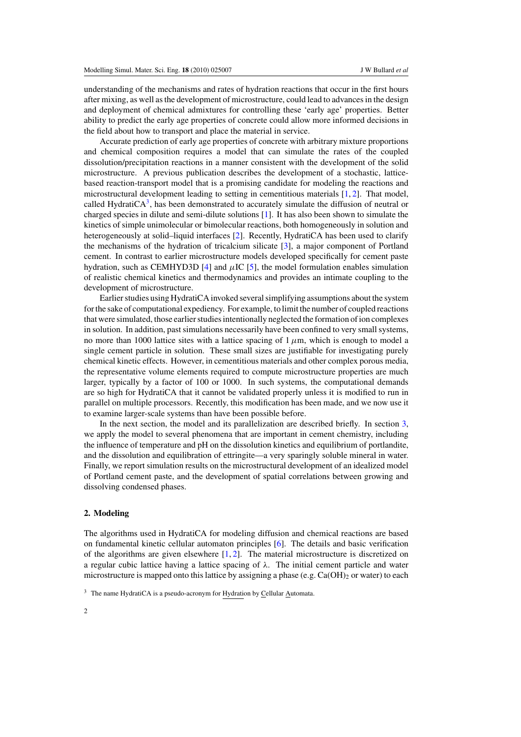understanding of the mechanisms and rates of hydration reactions that occur in the first hours after mixing, as well as the development of microstructure, could lead to advances in the design and deployment of chemical admixtures for controlling these 'early age' properties. Better ability to predict the early age properties of concrete could allow more informed decisions in the field about how to transport and place the material in service.

Accurate prediction of early age properties of concrete with arbitrary mixture proportions and chemical composition requires a model that can simulate the rates of the coupled dissolution/precipitation reactions in a manner consistent with the development of the solid microstructure. A previous publication describes the development of a stochastic, latticebased reaction-transport model that is a promising candidate for modeling the reactions and microstructural development leading to setting in cementitious materials [\[1,](#page-14-0) [2\]](#page-14-0). That model, called HydratiCA $3$ , has been demonstrated to accurately simulate the diffusion of neutral or charged species in dilute and semi-dilute solutions [\[1\]](#page-14-0). It has also been shown to simulate the kinetics of simple unimolecular or bimolecular reactions, both homogeneously in solution and heterogeneously at solid–liquid interfaces [\[2\]](#page-14-0). Recently, HydratiCA has been used to clarify the mechanisms of the hydration of tricalcium silicate [\[3\]](#page-14-0), a major component of Portland cement. In contrast to earlier microstructure models developed specifically for cement paste hydration, such as CEMHYD3D [\[4\]](#page-14-0) and  $\mu$ IC [\[5\]](#page-14-0), the model formulation enables simulation of realistic chemical kinetics and thermodynamics and provides an intimate coupling to the development of microstructure.

Earlier studies using HydratiCA invoked several simplifying assumptions about the system for the sake of computational expediency. For example, to limit the number of coupled reactions that were simulated, those earlier studies intentionally neglected the formation of ion complexes in solution. In addition, past simulations necessarily have been confined to very small systems, no more than 1000 lattice sites with a lattice spacing of  $1 \mu$ m, which is enough to model a single cement particle in solution. These small sizes are justifiable for investigating purely chemical kinetic effects. However, in cementitious materials and other complex porous media, the representative volume elements required to compute microstructure properties are much larger, typically by a factor of 100 or 1000. In such systems, the computational demands are so high for HydratiCA that it cannot be validated properly unless it is modified to run in parallel on multiple processors. Recently, this modification has been made, and we now use it to examine larger-scale systems than have been possible before.

In the next section, the model and its parallelization are described briefly. In section [3,](#page-4-0) we apply the model to several phenomena that are important in cement chemistry, including the influence of temperature and pH on the dissolution kinetics and equilibrium of portlandite, and the dissolution and equilibration of ettringite—a very sparingly soluble mineral in water. Finally, we report simulation results on the microstructural development of an idealized model of Portland cement paste, and the development of spatial correlations between growing and dissolving condensed phases.

#### **2. Modeling**

The algorithms used in HydratiCA for modeling diffusion and chemical reactions are based on fundamental kinetic cellular automaton principles [\[6\]](#page-14-0). The details and basic verification of the algorithms are given elsewhere  $[1, 2]$  $[1, 2]$  $[1, 2]$ . The material microstructure is discretized on a regular cubic lattice having a lattice spacing of *λ*. The initial cement particle and water microstructure is mapped onto this lattice by assigning a phase (e.g.  $Ca(OH)_2$  or water) to each

 $3$  The name HydratiCA is a pseudo-acronym for Hydration by Cellular Automata.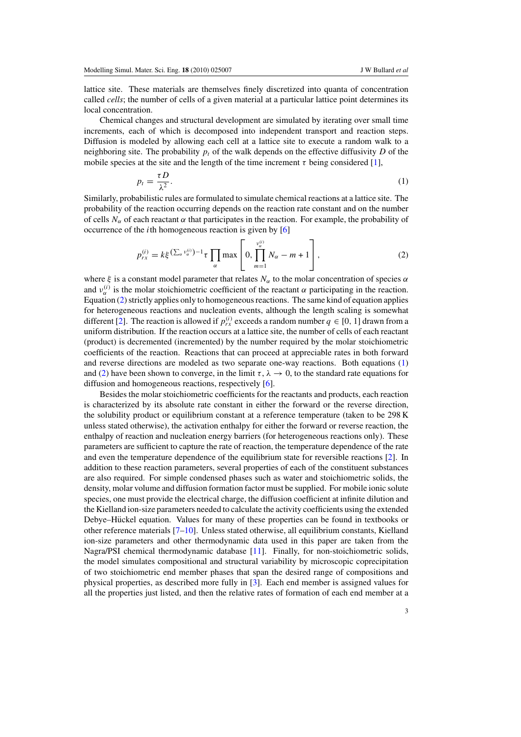<span id="page-2-0"></span>lattice site. These materials are themselves finely discretized into quanta of concentration called *cells*; the number of cells of a given material at a particular lattice point determines its local concentration.

Chemical changes and structural development are simulated by iterating over small time increments, each of which is decomposed into independent transport and reaction steps. Diffusion is modeled by allowing each cell at a lattice site to execute a random walk to a neighboring site. The probability  $p_t$  of the walk depends on the effective diffusivity D of the mobile species at the site and the length of the time increment  $\tau$  being considered [\[1\]](#page-14-0),

$$
p_t = \frac{\tau D}{\lambda^2}.\tag{1}
$$

Similarly, probabilistic rules are formulated to simulate chemical reactions at a lattice site. The probability of the reaction occurring depends on the reaction rate constant and on the number of cells  $N_\alpha$  of each reactant  $\alpha$  that participates in the reaction. For example, the probability of occurrence of the *i*th homogeneous reaction is given by [\[6\]](#page-14-0)

$$
p_{rx}^{(i)} = k\xi^{(\sum_{\alpha} \nu_{\alpha}^{(i)})-1} \tau \prod_{\alpha} \max \left[ 0, \prod_{m=1}^{\nu_{\alpha}^{(i)}} N_{\alpha} - m + 1 \right],
$$
 (2)

where  $\xi$  is a constant model parameter that relates  $N_\alpha$  to the molar concentration of species  $\alpha$ and  $v_{\alpha}^{(i)}$  is the molar stoichiometric coefficient of the reactant  $\alpha$  participating in the reaction. Equation (2) strictly applies only to homogeneous reactions. The same kind of equation applies for heterogeneous reactions and nucleation events, although the length scaling is somewhat different [\[2\]](#page-14-0). The reaction is allowed if  $p_{rx}^{(i)}$  exceeds a random number  $q \in [0, 1]$  drawn from a uniform distribution. If the reaction occurs at a lattice site, the number of cells of each reactant (product) is decremented (incremented) by the number required by the molar stoichiometric coefficients of the reaction. Reactions that can proceed at appreciable rates in both forward and reverse directions are modeled as two separate one-way reactions. Both equations (1) and (2) have been shown to converge, in the limit  $\tau$ ,  $\lambda \to 0$ , to the standard rate equations for diffusion and homogeneous reactions, respectively [\[6\]](#page-14-0).

Besides the molar stoichiometric coefficients for the reactants and products, each reaction is characterized by its absolute rate constant in either the forward or the reverse direction, the solubility product or equilibrium constant at a reference temperature (taken to be 298 K unless stated otherwise), the activation enthalpy for either the forward or reverse reaction, the enthalpy of reaction and nucleation energy barriers (for heterogeneous reactions only). These parameters are sufficient to capture the rate of reaction, the temperature dependence of the rate and even the temperature dependence of the equilibrium state for reversible reactions [\[2\]](#page-14-0). In addition to these reaction parameters, several properties of each of the constituent substances are also required. For simple condensed phases such as water and stoichiometric solids, the density, molar volume and diffusion formation factor must be supplied. For mobile ionic solute species, one must provide the electrical charge, the diffusion coefficient at infinite dilution and the Kielland ion-size parameters needed to calculate the activity coefficients using the extended Debye–Hückel equation. Values for many of these properties can be found in textbooks or other reference materials [\[7–10\]](#page-14-0). Unless stated otherwise, all equilibrium constants, Kielland ion-size parameters and other thermodynamic data used in this paper are taken from the Nagra/PSI chemical thermodynamic database [\[11\]](#page-14-0). Finally, for non-stoichiometric solids, the model simulates compositional and structural variability by microscopic coprecipitation of two stoichiometric end member phases that span the desired range of compositions and physical properties, as described more fully in [\[3\]](#page-14-0). Each end member is assigned values for all the properties just listed, and then the relative rates of formation of each end member at a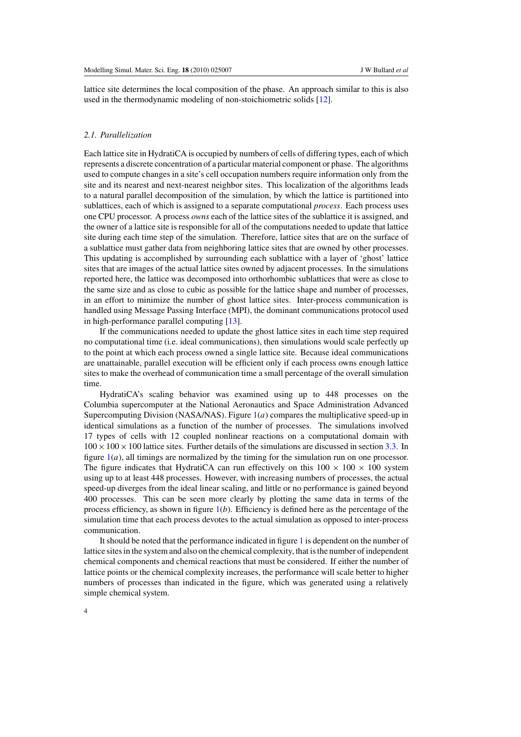lattice site determines the local composition of the phase. An approach similar to this is also used in the thermodynamic modeling of non-stoichiometric solids [\[12\]](#page-14-0).

### *2.1. Parallelization*

Each lattice site in HydratiCA is occupied by numbers of cells of differing types, each of which represents a discrete concentration of a particular material component or phase. The algorithms used to compute changes in a site's cell occupation numbers require information only from the site and its nearest and next-nearest neighbor sites. This localization of the algorithms leads to a natural parallel decomposition of the simulation, by which the lattice is partitioned into sublattices, each of which is assigned to a separate computational *process*. Each process uses one CPU processor. A process *owns* each of the lattice sites of the sublattice it is assigned, and the owner of a lattice site is responsible for all of the computations needed to update that lattice site during each time step of the simulation. Therefore, lattice sites that are on the surface of a sublattice must gather data from neighboring lattice sites that are owned by other processes. This updating is accomplished by surrounding each sublattice with a layer of 'ghost' lattice sites that are images of the actual lattice sites owned by adjacent processes. In the simulations reported here, the lattice was decomposed into orthorhombic sublattices that were as close to the same size and as close to cubic as possible for the lattice shape and number of processes, in an effort to minimize the number of ghost lattice sites. Inter-process communication is handled using Message Passing Interface (MPI), the dominant communications protocol used in high-performance parallel computing [\[13\]](#page-15-0).

If the communications needed to update the ghost lattice sites in each time step required no computational time (i.e. ideal communications), then simulations would scale perfectly up to the point at which each process owned a single lattice site. Because ideal communications are unattainable, parallel execution will be efficient only if each process owns enough lattice sites to make the overhead of communication time a small percentage of the overall simulation time.

HydratiCA's scaling behavior was examined using up to 448 processes on the Columbia supercomputer at the National Aeronautics and Space Administration Advanced Supercomputing Division (NASA/NAS). Figure [1\(](#page-4-0)*a*) compares the multiplicative speed-up in identical simulations as a function of the number of processes. The simulations involved 17 types of cells with 12 coupled nonlinear reactions on a computational domain with  $100 \times 100 \times 100$  lattice sites. Further details of the simulations are discussed in section [3.3.](#page-8-0) In figure [1\(](#page-4-0)*a*), all timings are normalized by the timing for the simulation run on one processor. The figure indicates that HydratiCA can run effectively on this  $100 \times 100 \times 100$  system using up to at least 448 processes. However, with increasing numbers of processes, the actual speed-up diverges from the ideal linear scaling, and little or no performance is gained beyond 400 processes. This can be seen more clearly by plotting the same data in terms of the process efficiency, as shown in figure  $1(b)$  $1(b)$ . Efficiency is defined here as the percentage of the simulation time that each process devotes to the actual simulation as opposed to inter-process communication.

It should be noted that the performance indicated in figure [1](#page-4-0) is dependent on the number of lattice sites in the system and also on the chemical complexity, that is the number of independent chemical components and chemical reactions that must be considered. If either the number of lattice points or the chemical complexity increases, the performance will scale better to higher numbers of processes than indicated in the figure, which was generated using a relatively simple chemical system.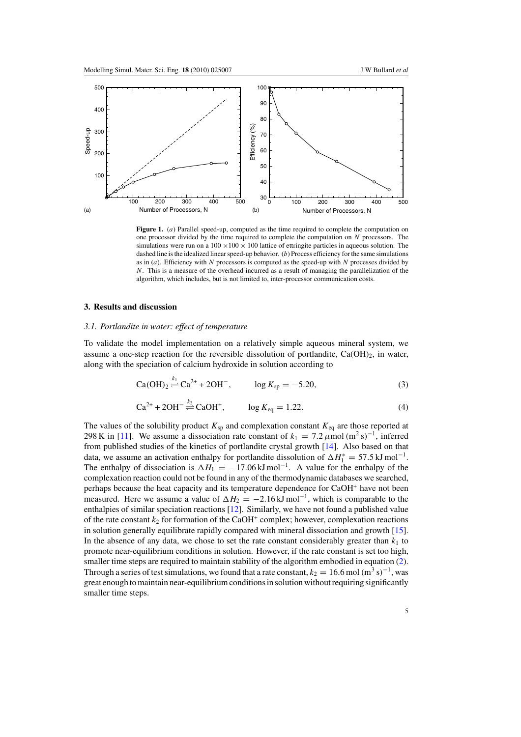<span id="page-4-0"></span>

**Figure 1.** (*a*) Parallel speed-up, computed as the time required to complete the computation on one processor divided by the time required to complete the computation on *N* processors. The simulations were run on a  $100 \times 100 \times 100$  lattice of ettringite particles in aqueous solution. The dashed line is the idealized linear speed-up behavior. (*b*) Process efficiency for the same simulations as in (*a*). Efficiency with *N* processors is computed as the speed-up with *N* processes divided by *N*. This is a measure of the overhead incurred as a result of managing the parallelization of the algorithm, which includes, but is not limited to, inter-processor communication costs.

#### **3. Results and discussion**

### *3.1. Portlandite in water: effect of temperature*

To validate the model implementation on a relatively simple aqueous mineral system, we assume a one-step reaction for the reversible dissolution of portlandite,  $Ca(OH)_2$ , in water, along with the speciation of calcium hydroxide in solution according to

$$
Ca(OH)_2 \stackrel{k_1}{\rightleftharpoons} Ca^{2+} + 2OH^-, \qquad \log K_{sp} = -5.20,
$$
 (3)

$$
Ca^{2+} + 2OH^{-} \stackrel{k_2}{\rightleftharpoons} CaOH^{+}, \qquad \log K_{\text{eq}} = 1.22. \tag{4}
$$

The values of the solubility product  $K_{sp}$  and complexation constant  $K_{eq}$  are those reported at 298 K in [\[11\]](#page-14-0). We assume a dissociation rate constant of  $k_1 = 7.2 \mu$  mol (m<sup>2</sup> s)<sup>-1</sup>, inferred from published studies of the kinetics of portlandite crystal growth [\[14\]](#page-15-0). Also based on that data, we assume an activation enthalpy for portlandite dissolution of  $\Delta H_1^* = 57.5 \text{ kJ mol}^{-1}$ . The enthalpy of dissociation is  $\Delta H_1 = -17.06 \text{ kJ} \text{ mol}^{-1}$ . A value for the enthalpy of the complexation reaction could not be found in any of the thermodynamic databases we searched, perhaps because the heat capacity and its temperature dependence for CaOH<sup>+</sup> have not been measured. Here we assume a value of  $\Delta H_2 = -2.16 \text{ kJ} \text{ mol}^{-1}$ , which is comparable to the enthalpies of similar speciation reactions [\[12\]](#page-14-0). Similarly, we have not found a published value of the rate constant  $k_2$  for formation of the CaOH<sup>+</sup> complex; however, complexation reactions in solution generally equilibrate rapidly compared with mineral dissociation and growth [\[15\]](#page-15-0). In the absence of any data, we chose to set the rate constant considerably greater than  $k_1$  to promote near-equilibrium conditions in solution. However, if the rate constant is set too high, smaller time steps are required to maintain stability of the algorithm embodied in equation [\(2\)](#page-2-0). Through a series of test simulations, we found that a rate constant,  $k_2 = 16.6$  mol  $\left(\frac{m^3}{s}\right)^{-1}$ , was great enough to maintain near-equilibrium conditions in solution without requiring significantly smaller time steps.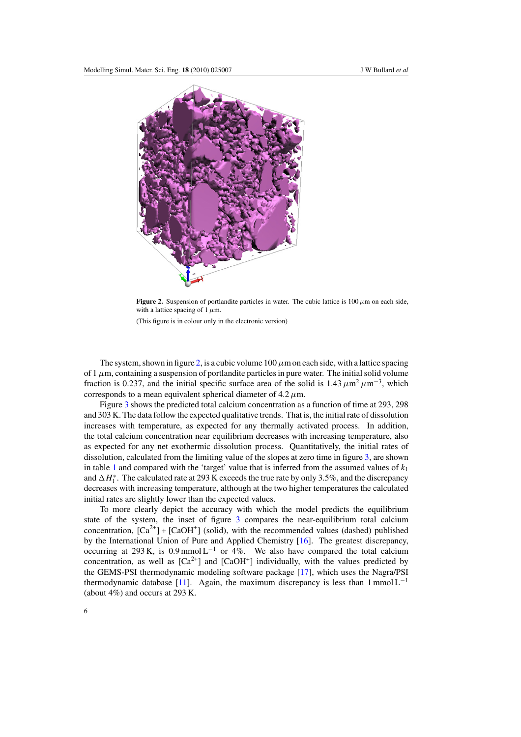<span id="page-5-0"></span>

**Figure 2.** Suspension of portlandite particles in water. The cubic lattice is  $100 \mu$ m on each side, with a lattice spacing of 1*µ*m.

(This figure is in colour only in the electronic version)

The system, shown in figure 2, is a cubic volume  $100 \mu$ m on each side, with a lattice spacing of  $1 \mu$ m, containing a suspension of portlandite particles in pure water. The initial solid volume fraction is 0.237, and the initial specific surface area of the solid is  $1.43 \mu m^2 \mu m^{-3}$ , which corresponds to a mean equivalent spherical diameter of  $4.2 \mu$ m.

Figure [3](#page-6-0) shows the predicted total calcium concentration as a function of time at 293, 298 and 303 K. The data follow the expected qualitative trends. That is, the initial rate of dissolution increases with temperature, as expected for any thermally activated process. In addition, the total calcium concentration near equilibrium decreases with increasing temperature, also as expected for any net exothermic dissolution process. Quantitatively, the initial rates of dissolution, calculated from the limiting value of the slopes at zero time in figure [3,](#page-6-0) are shown in table [1](#page-6-0) and compared with the 'target' value that is inferred from the assumed values of *k*<sup>1</sup> and  $\Delta H_1^*$ . The calculated rate at 293 K exceeds the true rate by only 3.5%, and the discrepancy decreases with increasing temperature, although at the two higher temperatures the calculated initial rates are slightly lower than the expected values.

To more clearly depict the accuracy with which the model predicts the equilibrium state of the system, the inset of figure [3](#page-6-0) compares the near-equilibrium total calcium concentration,  $[Ca^{2+}] + [CaOH^{+}]$  (solid), with the recommended values (dashed) published by the International Union of Pure and Applied Chemistry [\[16\]](#page-15-0). The greatest discrepancy, occurring at 293 K, is  $0.9 \text{ mmol L}^{-1}$  or 4%. We also have compared the total calcium concentration, as well as  $[Ca^{2+}]$  and  $[CaOH^{+}]$  individually, with the values predicted by the GEMS-PSI thermodynamic modeling software package [\[17\]](#page-15-0), which uses the Nagra/PSI thermodynamic database [\[11\]](#page-14-0). Again, the maximum discrepancy is less than  $1 \text{ mmol } L^{-1}$ (about 4%) and occurs at 293 K.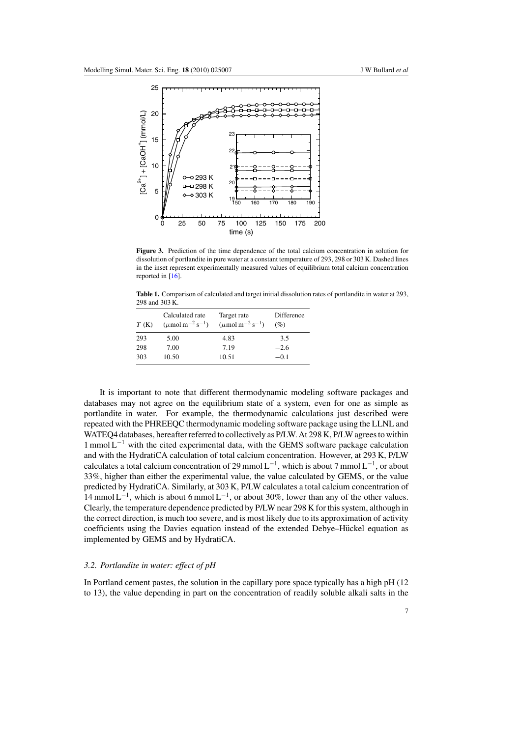<span id="page-6-0"></span>

**Figure 3.** Prediction of the time dependence of the total calcium concentration in solution for dissolution of portlandite in pure water at a constant temperature of 293, 298 or 303 K. Dashed lines in the inset represent experimentally measured values of equilibrium total calcium concentration reported in [\[16\]](#page-15-0).

**Table 1.** Comparison of calculated and target initial dissolution rates of portlandite in water at 293, 298 and 303 K.

| T(K) | Calculated rate<br>$(\mu$ mol m <sup>-2</sup> s <sup>-1</sup> ) | Target rate<br>$(\mu$ mol m <sup>-2</sup> s <sup>-1</sup> ) | Difference<br>(%) |
|------|-----------------------------------------------------------------|-------------------------------------------------------------|-------------------|
| 293  | 5.00                                                            | 4.83                                                        | 3.5               |
| 298  | 7.00                                                            | 7.19                                                        | $-2.6$            |
| 303  | 10.50                                                           | 10.51                                                       | $-0.1$            |

It is important to note that different thermodynamic modeling software packages and databases may not agree on the equilibrium state of a system, even for one as simple as portlandite in water. For example, the thermodynamic calculations just described were repeated with the PHREEQC thermodynamic modeling software package using the LLNL and WATEQ4 databases, hereafter referred to collectively as P/LW. At 298 K, P/LW agrees to within  $1 \text{ mmol L}^{-1}$  with the cited experimental data, with the GEMS software package calculation and with the HydratiCA calculation of total calcium concentration. However, at 293 K, P/LW calculates a total calcium concentration of 29 mmol  $L^{-1}$ , which is about 7 mmol  $L^{-1}$ , or about 33%, higher than either the experimental value, the value calculated by GEMS, or the value predicted by HydratiCA. Similarly, at 303 K, P/LW calculates a total calcium concentration of  $14$  mmol L<sup>-1</sup>, which is about 6 mmol L<sup>-1</sup>, or about 30%, lower than any of the other values. Clearly, the temperature dependence predicted by P/LW near 298 K for this system, although in the correct direction, is much too severe, and is most likely due to its approximation of activity coefficients using the Davies equation instead of the extended Debye–Hückel equation as implemented by GEMS and by HydratiCA.

# *3.2. Portlandite in water: effect of pH*

In Portland cement pastes, the solution in the capillary pore space typically has a high pH (12 to 13), the value depending in part on the concentration of readily soluble alkali salts in the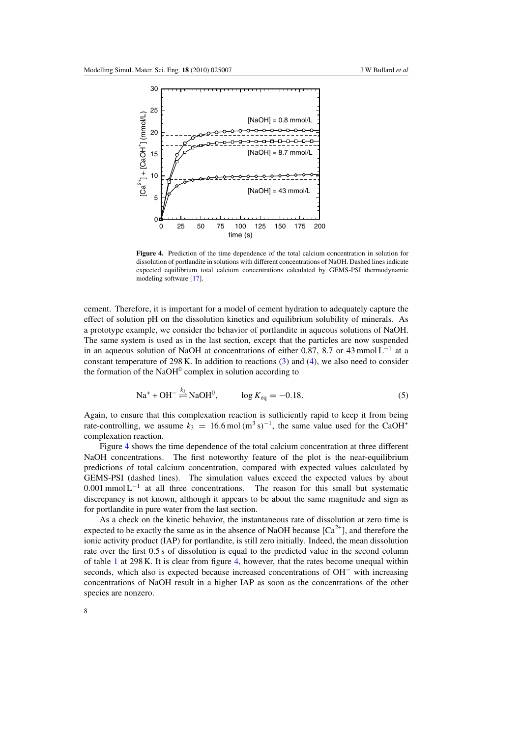

**Figure 4.** Prediction of the time dependence of the total calcium concentration in solution for dissolution of portlandite in solutions with different concentrations of NaOH. Dashed lines indicate expected equilibrium total calcium concentrations calculated by GEMS-PSI thermodynamic modeling software [\[17\]](#page-15-0).

cement. Therefore, it is important for a model of cement hydration to adequately capture the effect of solution pH on the dissolution kinetics and equilibrium solubility of minerals. As a prototype example, we consider the behavior of portlandite in aqueous solutions of NaOH. The same system is used as in the last section, except that the particles are now suspended in an aqueous solution of NaOH at concentrations of either 0.87, 8.7 or 43 mmol L<sup>-1</sup> at a constant temperature of 298 K. In addition to reactions [\(3\)](#page-4-0) and [\(4\)](#page-4-0), we also need to consider the formation of the  $NaOH<sup>0</sup>$  complex in solution according to

$$
Na^{+} + OH^{-} \stackrel{k_3}{\rightleftharpoons} NaOH^{0}, \qquad \log K_{eq} = -0.18. \tag{5}
$$

Again, to ensure that this complexation reaction is sufficiently rapid to keep it from being rate-controlling, we assume  $k_3 = 16.6 \text{ mol } (m^3 \text{ s})^{-1}$ , the same value used for the CaOH<sup>+</sup> complexation reaction.

Figure 4 shows the time dependence of the total calcium concentration at three different NaOH concentrations. The first noteworthy feature of the plot is the near-equilibrium predictions of total calcium concentration, compared with expected values calculated by GEMS-PSI (dashed lines). The simulation values exceed the expected values by about 0.001 mmol  $L^{-1}$  at all three concentrations. The reason for this small but systematic discrepancy is not known, although it appears to be about the same magnitude and sign as for portlandite in pure water from the last section.

As a check on the kinetic behavior, the instantaneous rate of dissolution at zero time is expected to be exactly the same as in the absence of NaOH because  $[Ca^{2+}]$ , and therefore the ionic activity product (IAP) for portlandite, is still zero initially. Indeed, the mean dissolution rate over the first 0.5 s of dissolution is equal to the predicted value in the second column of table [1](#page-6-0) at 298 K. It is clear from figure 4, however, that the rates become unequal within seconds, which also is expected because increased concentrations of OH<sup>−</sup> with increasing concentrations of NaOH result in a higher IAP as soon as the concentrations of the other species are nonzero.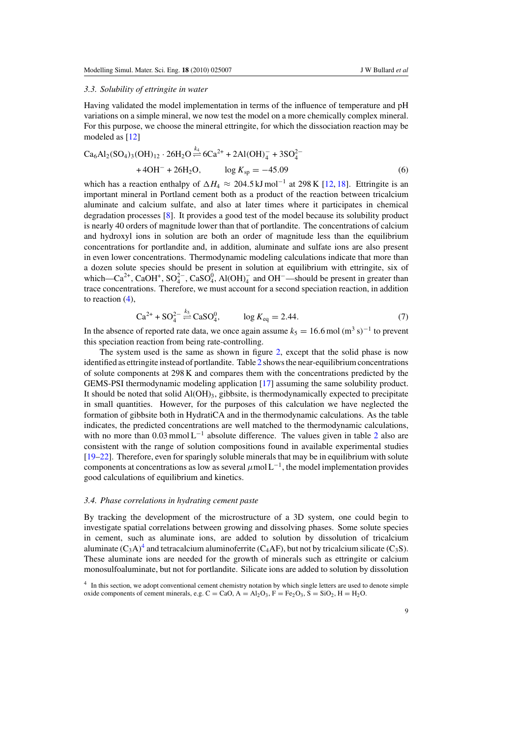#### <span id="page-8-0"></span>*3.3. Solubility of ettringite in water*

Having validated the model implementation in terms of the influence of temperature and pH variations on a simple mineral, we now test the model on a more chemically complex mineral. For this purpose, we choose the mineral ettringite, for which the dissociation reaction may be modeled as [\[12\]](#page-14-0)

$$
Ca_6Al_2(SO_4)_3(OH)_{12} \cdot 26H_2O \stackrel{k_4}{\rightleftharpoons} 6Ca^{2+} + 2Al(OH)_4^- + 3SO_4^{2-} + 4OH^- + 26H_2O, \qquad \log K_{sp} = -45.09\tag{6}
$$

which has a reaction enthalpy of  $\Delta H_4 \approx 204.5 \,\mathrm{kJ\,mol^{-1}}$  at 298 K [\[12,](#page-14-0) [18\]](#page-15-0). Ettringite is an important mineral in Portland cement both as a product of the reaction between tricalcium aluminate and calcium sulfate, and also at later times where it participates in chemical degradation processes [\[8\]](#page-14-0). It provides a good test of the model because its solubility product is nearly 40 orders of magnitude lower than that of portlandite. The concentrations of calcium and hydroxyl ions in solution are both an order of magnitude less than the equilibrium concentrations for portlandite and, in addition, aluminate and sulfate ions are also present in even lower concentrations. Thermodynamic modeling calculations indicate that more than a dozen solute species should be present in solution at equilibrium with ettringite, six of which—Ca<sup>2+</sup>, CaOH<sup>+</sup>, SO<sub>4</sub><sup>-</sup>, CaSO<sub>4</sub><sup>0</sup>, Al(OH)<sub>4</sub><sup>-</sup> and OH<sup>-</sup>—should be present in greater than trace concentrations. Therefore, we must account for a second speciation reaction, in addition to reaction [\(4\)](#page-4-0),

$$
Ca^{2+} + SO_4^{2-} \stackrel{k_5}{\rightleftharpoons} CaSO_4^0, \qquad \log K_{\text{eq}} = 2.44. \tag{7}
$$

In the absence of reported rate data, we once again assume  $k_5 = 16.6$  mol (m<sup>3</sup> s)<sup>-1</sup> to prevent this speciation reaction from being rate-controlling.

The system used is the same as shown in figure [2,](#page-5-0) except that the solid phase is now identified as ettringite instead of portlandite. Table [2](#page-9-0) shows the near-equilibrium concentrations of solute components at 298 K and compares them with the concentrations predicted by the GEMS-PSI thermodynamic modeling application [\[17\]](#page-15-0) assuming the same solubility product. It should be noted that solid Al(OH)<sub>3</sub>, gibbsite, is thermodynamically expected to precipitate in small quantities. However, for the purposes of this calculation we have neglected the formation of gibbsite both in HydratiCA and in the thermodynamic calculations. As the table indicates, the predicted concentrations are well matched to the thermodynamic calculations, with no more than  $0.03$  mmol L<sup>-1</sup> absolute difference. The values given in table [2](#page-9-0) also are consistent with the range of solution compositions found in available experimental studies [\[19–22\]](#page-15-0). Therefore, even for sparingly soluble minerals that may be in equilibrium with solute components at concentrations as low as several  $\mu$ mol L<sup>-1</sup>, the model implementation provides good calculations of equilibrium and kinetics.

#### *3.4. Phase correlations in hydrating cement paste*

By tracking the development of the microstructure of a 3D system, one could begin to investigate spatial correlations between growing and dissolving phases. Some solute species in cement, such as aluminate ions, are added to solution by dissolution of tricalcium aluminate  $(C_3A)^4$  and tetracalcium aluminoferrite (C<sub>4</sub>AF), but not by tricalcium silicate (C<sub>3</sub>S). These aluminate ions are needed for the growth of minerals such as ettringite or calcium monosulfoaluminate, but not for portlandite. Silicate ions are added to solution by dissolution

<sup>4</sup> In this section, we adopt conventional cement chemistry notation by which single letters are used to denote simple oxide components of cement minerals, e.g.  $C = CaO$ ,  $A = Al_2O_3$ ,  $F = Fe_2O_3$ ,  $S = SiO_2$ ,  $H = H_2O$ .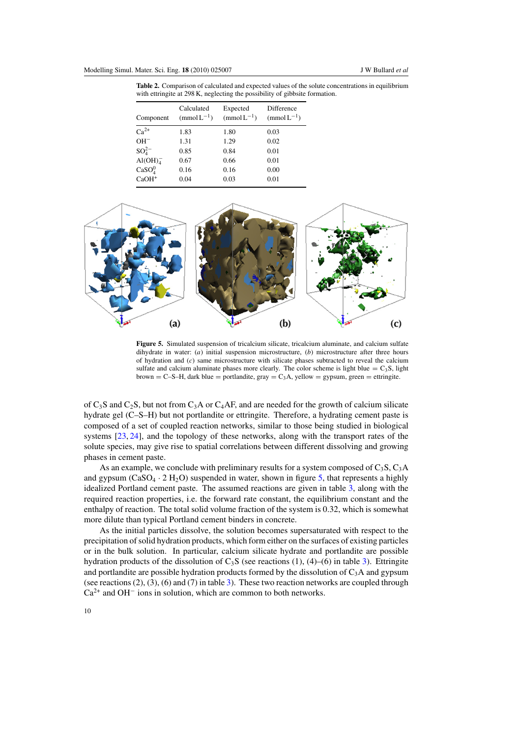<span id="page-9-0"></span>**Table 2.** Comparison of calculated and expected values of the solute concentrations in equilibrium with ettringite at 298 K, neglecting the possibility of gibbsite formation.

| Component                      | Calculated<br>$(mmol L^{-1})$ | Expected<br>$(mmolL^{-1})$ | Difference<br>$\text{(mmol L}^{-1})$ |
|--------------------------------|-------------------------------|----------------------------|--------------------------------------|
| $Ca^{2+}$                      | 1.83                          | 1.80                       | 0.03                                 |
| $OH^-$                         | 1.31                          | 1.29                       | 0.02                                 |
| $SO_4^{2-}$                    | 0.85                          | 0.84                       | 0.01                                 |
| AI(OH) <sub>4</sub>            | 0.67                          | 0.66                       | 0.01                                 |
| CaSO <sub>4</sub> <sup>0</sup> | 0.16                          | 0.16                       | 0.00                                 |
| $CaOH+$                        | 0.04                          | 0.03                       | 0.01                                 |



**Figure 5.** Simulated suspension of tricalcium silicate, tricalcium aluminate, and calcium sulfate dihydrate in water: (*a*) initial suspension microstructure, (*b*) microstructure after three hours of hydration and (*c*) same microstructure with silicate phases subtracted to reveal the calcium sulfate and calcium aluminate phases more clearly. The color scheme is light blue =  $C_3S$ , light brown = C–S–H, dark blue = portlandite,  $gray = C<sub>3</sub>A$ , yellow = gypsum, green = ettringite.

of  $C_3$ S and  $C_2$ S, but not from  $C_3$ A or  $C_4$ AF, and are needed for the growth of calcium silicate hydrate gel (C–S–H) but not portlandite or ettringite. Therefore, a hydrating cement paste is composed of a set of coupled reaction networks, similar to those being studied in biological systems [\[23,](#page-15-0) [24\]](#page-15-0), and the topology of these networks, along with the transport rates of the solute species, may give rise to spatial correlations between different dissolving and growing phases in cement paste.

As an example, we conclude with preliminary results for a system composed of  $C_3S$ ,  $C_3A$ and gypsum (CaSO<sub>4</sub> · 2 H<sub>2</sub>O) suspended in water, shown in figure 5, that represents a highly idealized Portland cement paste. The assumed reactions are given in table [3,](#page-10-0) along with the required reaction properties, i.e. the forward rate constant, the equilibrium constant and the enthalpy of reaction. The total solid volume fraction of the system is 0.32, which is somewhat more dilute than typical Portland cement binders in concrete.

As the initial particles dissolve, the solution becomes supersaturated with respect to the precipitation of solid hydration products, which form either on the surfaces of existing particles or in the bulk solution. In particular, calcium silicate hydrate and portlandite are possible hydration products of the dissolution of  $C_3S$  (see reactions (1), (4)–(6) in table [3\)](#page-10-0). Ettringite and portlandite are possible hydration products formed by the dissolution of  $C_3A$  and gypsum (see reactions  $(2)$ ,  $(3)$  $(3)$ ,  $(6)$  and  $(7)$  in table 3). These two reaction networks are coupled through  $Ca<sup>2+</sup>$  and OH<sup>-</sup> ions in solution, which are common to both networks.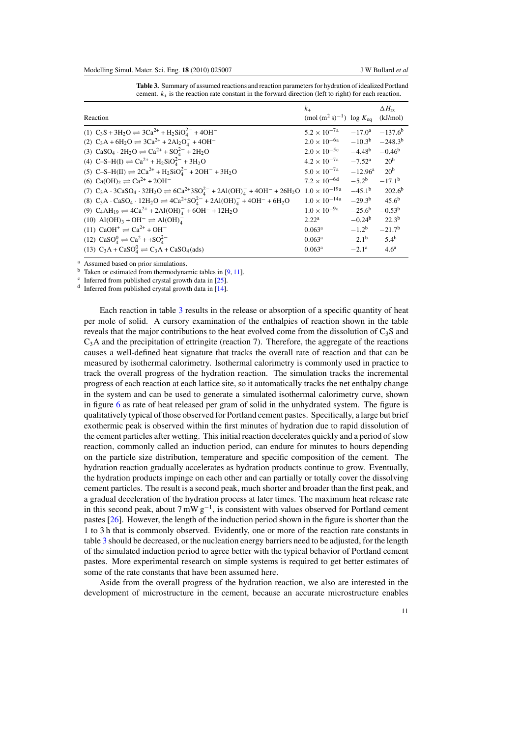<span id="page-10-0"></span>

| Reaction                                                                                                                             | $k_{+}$<br>$\text{(mol (m2 s)-1)}$ log $K_{\text{eq}}$ |                  | $\Delta H_{\rm rx}$<br>(kJ/mol) |
|--------------------------------------------------------------------------------------------------------------------------------------|--------------------------------------------------------|------------------|---------------------------------|
| (1) $C_3S + 3H_2O \rightleftharpoons 3Ca^{2+} + H_2SiO_4^{2-} + 4OH^-$                                                               | $5.2 \times 10^{-7a}$                                  | $-17.0^{\rm a}$  | $-137.6^{\rm b}$                |
| (2) $C_3A + 6H_2O \rightleftharpoons 3Ca^{2+} + 2Al_2O_4^- + 4OH^-$                                                                  | $2.0 \times 10^{-6a}$                                  | $-10.3^{\rm b}$  | $-248.3^{b}$                    |
| (3) $CaSO_4 \cdot 2H_2O \rightleftharpoons Ca^{2+} + SO_4^{2-} + 2H_2O$                                                              | $2.0 \times 10^{-5c}$                                  | $-4.48^{\rm b}$  | $-0.46^{\rm b}$                 |
| (4) C-S-H(I) $\rightleftharpoons$ Ca <sup>2+</sup> + H <sub>2</sub> SiO <sub>4</sub> <sup>2-</sup> + 3H <sub>2</sub> O               | $4.2 \times 10^{-7a}$                                  | $-7.52^{\rm a}$  | 20 <sup>b</sup>                 |
| (5) C-S-H(II) $\Rightarrow$ 2Ca <sup>2+</sup> + H <sub>2</sub> SiO <sub>4</sub> <sup>2-</sup> + 2OH <sup>-</sup> + 3H <sub>2</sub> O | $5.0 \times 10^{-7a}$                                  | $-12.96^{\rm a}$ | 20 <sup>b</sup>                 |
| (6) $Ca(OH)_2 \rightleftharpoons Ca^{2+} + 2OH^-$                                                                                    | $7.2 \times 10^{-6d}$                                  | $-5.2^{\rm b}$   | $-17.1^{\rm b}$                 |
| (7) $C_3A \cdot 3CaSO_4 \cdot 32H_2O \rightleftharpoons 6Ca^{2+}3SO_4^{2-} + 2Al(OH)_4^- + 4OH^- + 26H_2O$ $1.0 \times 10^{-19a}$    |                                                        | $-45.1^{\rm b}$  | $202.6^{b}$                     |
| (8) $C_3A \cdot CaSO_4 \cdot 12H_2O \rightleftharpoons 4Ca^{2+}SO_4^{2-} + 2Al(OH)_4^- + 4OH^- + 6H_2O$                              | $1.0\times10^{-14}\rm{a}$                              | $-29.3^{b}$      | $45.6^{b}$                      |
| (9) $C_4AH_{19} \rightleftharpoons 4Ca^{2+} + 2Al(OH)4- + 6OH- + 12H_2O$                                                             | $1.0 \times 10^{-9a}$                                  | $-25.6^{\rm b}$  | $-0.53^{b}$                     |
| $(10)$ Al $(OH)_3 + OH^- \rightleftharpoons Al(OH)_4^-$                                                                              | 2.22 <sup>a</sup>                                      | $-0.24b$         | $22.3^{b}$                      |
| $(11)$ CaOH <sup>+</sup> $\rightleftharpoons$ Ca <sup>2+</sup> + OH <sup>-</sup>                                                     | $0.063^{\rm a}$                                        | $-1.2^b$         | $-21.7b$                        |
| (12) $CaSO_4^0 \rightleftharpoons Ca^2 + +SO_4^{2-}$                                                                                 | $0.063^{\rm a}$                                        | $-2.1^{\rm b}$   | $-5.4^{b}$                      |
| (13) $C_3A + CaSO_4^0 \rightleftharpoons C_3A + CaSO_4(ads)$                                                                         | $0.063^a$                                              | $-2.1^a$         | 4.6 <sup>a</sup>                |

**Table 3.** Summary of assumed reactions and reaction parameters for hydration of idealized Portland cement.  $k_{\perp}$  is the reaction rate constant in the forward direction (left to right) for each reaction.

<sup>a</sup> Assumed based on prior simulations.

 $<sup>b</sup>$  Taken or estimated from thermodynamic tables in [\[9,](#page-14-0) [11\]](#page-14-0).</sup>

 $\textdegree$  Inferred from published crystal growth data in [\[25\]](#page-15-0).

 $d$  Inferred from published crystal growth data in [\[14\]](#page-15-0).

Each reaction in table 3 results in the release or absorption of a specific quantity of heat per mole of solid. A cursory examination of the enthalpies of reaction shown in the table reveals that the major contributions to the heat evolved come from the dissolution of  $C_3S$  and  $C_3$ A and the precipitation of ettringite (reaction 7). Therefore, the aggregate of the reactions causes a well-defined heat signature that tracks the overall rate of reaction and that can be measured by isothermal calorimetry. Isothermal calorimetry is commonly used in practice to track the overall progress of the hydration reaction. The simulation tracks the incremental progress of each reaction at each lattice site, so it automatically tracks the net enthalpy change in the system and can be used to generate a simulated isothermal calorimetry curve, shown in figure [6](#page-11-0) as rate of heat released per gram of solid in the unhydrated system. The figure is qualitatively typical of those observed for Portland cement pastes. Specifically, a large but brief exothermic peak is observed within the first minutes of hydration due to rapid dissolution of the cement particles after wetting. This initial reaction decelerates quickly and a period of slow reaction, commonly called an induction period, can endure for minutes to hours depending on the particle size distribution, temperature and specific composition of the cement. The hydration reaction gradually accelerates as hydration products continue to grow. Eventually, the hydration products impinge on each other and can partially or totally cover the dissolving cement particles. The result is a second peak, much shorter and broader than the first peak, and a gradual deceleration of the hydration process at later times. The maximum heat release rate in this second peak, about  $7 \text{ mW g}^{-1}$ , is consistent with values observed for Portland cement pastes [\[26\]](#page-15-0). However, the length of the induction period shown in the figure is shorter than the 1 to 3 h that is commonly observed. Evidently, one or more of the reaction rate constants in table 3 should be decreased, or the nucleation energy barriers need to be adjusted, for the length of the simulated induction period to agree better with the typical behavior of Portland cement pastes. More experimental research on simple systems is required to get better estimates of some of the rate constants that have been assumed here.

Aside from the overall progress of the hydration reaction, we also are interested in the development of microstructure in the cement, because an accurate microstructure enables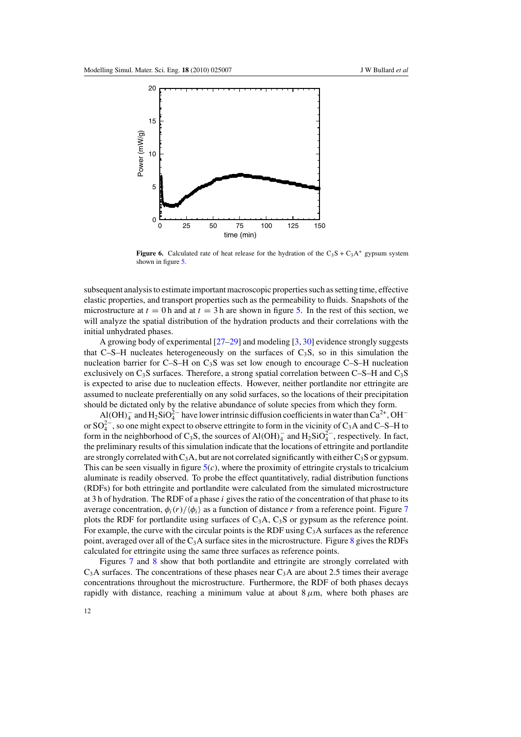<span id="page-11-0"></span>

**Figure 6.** Calculated rate of heat release for the hydration of the  $C_3S + C_3A^+$  gypsum system shown in figure [5.](#page-9-0)

subsequent analysis to estimate important macroscopic properties such as setting time, effective elastic properties, and transport properties such as the permeability to fluids. Snapshots of the microstructure at  $t = 0$  h and at  $t = 3$  h are shown in figure [5.](#page-9-0) In the rest of this section, we will analyze the spatial distribution of the hydration products and their correlations with the initial unhydrated phases.

A growing body of experimental  $[27-29]$  and modeling  $[3, 30]$  $[3, 30]$  $[3, 30]$  evidence strongly suggests that C–S–H nucleates heterogeneously on the surfaces of  $C_3S$ , so in this simulation the nucleation barrier for C–S–H on  $C_3$ S was set low enough to encourage C–S–H nucleation exclusively on  $C_3S$  surfaces. Therefore, a strong spatial correlation between C–S–H and  $C_3S$ is expected to arise due to nucleation effects. However, neither portlandite nor ettringite are assumed to nucleate preferentially on any solid surfaces, so the locations of their precipitation should be dictated only by the relative abundance of solute species from which they form.

 $A$ <sup>1</sup>(OH)<sup>-</sup> and H<sub>2</sub>SiO<sup>2</sup><sup>-</sup> have lower intrinsic diffusion coefficients in water than Ca<sup>2+</sup>, OH<sup>-</sup> or  $SO_4^{2-}$ , so one might expect to observe ettringite to form in the vicinity of C<sub>3</sub>A and C–S–H to form in the neighborhood of C<sub>3</sub>S, the sources of Al(OH)<sub>4</sub><sup> $-$ </sup> and H<sub>2</sub>SiO<sub>4</sub><sup> $-$ </sup>, respectively. In fact, the preliminary results of this simulation indicate that the locations of ettringite and portlandite are strongly correlated with  $C_3A$ , but are not correlated significantly with either  $C_3S$  or gypsum. This can be seen visually in figure  $5(c)$  $5(c)$ , where the proximity of ettringite crystals to tricalcium aluminate is readily observed. To probe the effect quantitatively, radial distribution functions (RDFs) for both ettringite and portlandite were calculated from the simulated microstructure at 3 h of hydration. The RDF of a phase *i* gives the ratio of the concentration of that phase to its average concentration,  $\phi_i(r)/\langle \phi_i \rangle$  as a function of distance *r* from a reference point. Figure [7](#page-12-0) plots the RDF for portlandite using surfaces of  $C_3A$ ,  $C_3S$  or gypsum as the reference point. For example, the curve with the circular points is the RDF using  $C_3A$  surfaces as the reference point, averaged over all of the  $C_3A$  surface sites in the microstructure. Figure [8](#page-12-0) gives the RDFs calculated for ettringite using the same three surfaces as reference points.

Figures [7](#page-12-0) and [8](#page-12-0) show that both portlandite and ettringite are strongly correlated with  $C_3$ A surfaces. The concentrations of these phases near  $C_3$ A are about 2.5 times their average concentrations throughout the microstructure. Furthermore, the RDF of both phases decays rapidly with distance, reaching a minimum value at about  $8 \mu m$ , where both phases are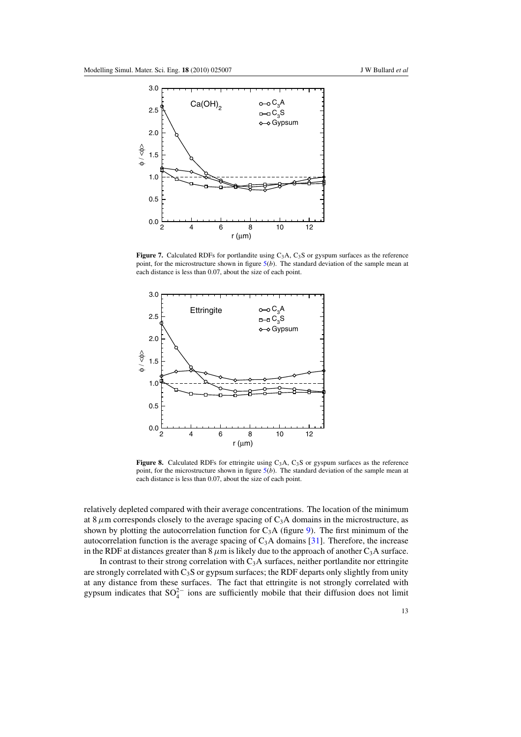<span id="page-12-0"></span>

Figure 7. Calculated RDFs for portlandite using C<sub>3</sub>A, C<sub>3</sub>S or gyspum surfaces as the reference point, for the microstructure shown in figure  $5(b)$  $5(b)$ . The standard deviation of the sample mean at each distance is less than 0.07, about the size of each point.



Figure 8. Calculated RDFs for ettringite using C<sub>3</sub>A, C<sub>3</sub>S or gyspum surfaces as the reference point, for the microstructure shown in figure [5\(](#page-9-0)*b*). The standard deviation of the sample mean at each distance is less than 0.07, about the size of each point.

relatively depleted compared with their average concentrations. The location of the minimum at 8 $\mu$ m corresponds closely to the average spacing of C<sub>3</sub>A domains in the microstructure, as shown by plotting the autocorrelation function for  $C_3A$  (figure [9\)](#page-13-0). The first minimum of the autocorrelation function is the average spacing of  $C_3A$  domains [\[31\]](#page-15-0). Therefore, the increase in the RDF at distances greater than  $8 \mu m$  is likely due to the approach of another C<sub>3</sub>A surface.

In contrast to their strong correlation with  $C_3A$  surfaces, neither portlandite nor ettringite are strongly correlated with  $C_3S$  or gypsum surfaces; the RDF departs only slightly from unity at any distance from these surfaces. The fact that ettringite is not strongly correlated with gypsum indicates that  $SO_4^{2-}$  ions are sufficiently mobile that their diffusion does not limit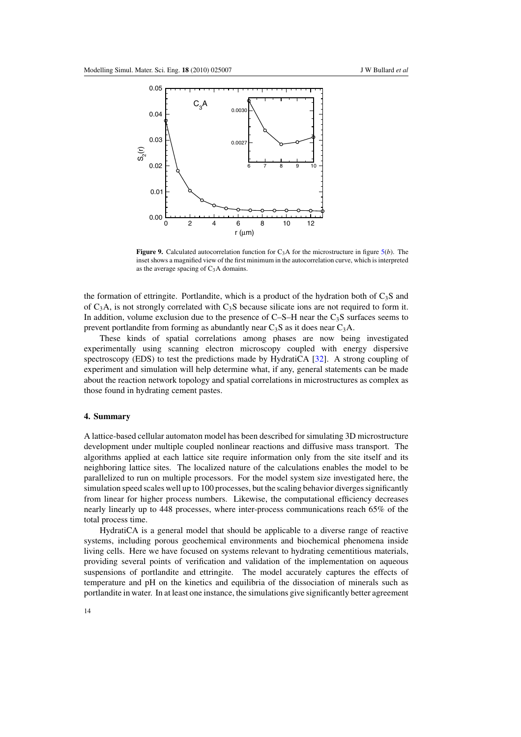<span id="page-13-0"></span>

**Figure 9.** Calculated autocorrelation function for C3A for the microstructure in figure [5\(](#page-9-0)*b*). The inset shows a magnified view of the first minimum in the autocorrelation curve, which is interpreted as the average spacing of  $C_3A$  domains.

the formation of ettringite. Portlandite, which is a product of the hydration both of  $C_3S$  and of  $C_3A$ , is not strongly correlated with  $C_3S$  because silicate ions are not required to form it. In addition, volume exclusion due to the presence of  $C-S-H$  near the  $C_3S$  surfaces seems to prevent portlandite from forming as abundantly near  $C_3S$  as it does near  $C_3A$ .

These kinds of spatial correlations among phases are now being investigated experimentally using scanning electron microscopy coupled with energy dispersive spectroscopy (EDS) to test the predictions made by HydratiCA [\[32\]](#page-15-0). A strong coupling of experiment and simulation will help determine what, if any, general statements can be made about the reaction network topology and spatial correlations in microstructures as complex as those found in hydrating cement pastes.

# **4. Summary**

A lattice-based cellular automaton model has been described for simulating 3D microstructure development under multiple coupled nonlinear reactions and diffusive mass transport. The algorithms applied at each lattice site require information only from the site itself and its neighboring lattice sites. The localized nature of the calculations enables the model to be parallelized to run on multiple processors. For the model system size investigated here, the simulation speed scales well up to 100 processes, but the scaling behavior diverges significantly from linear for higher process numbers. Likewise, the computational efficiency decreases nearly linearly up to 448 processes, where inter-process communications reach 65% of the total process time.

HydratiCA is a general model that should be applicable to a diverse range of reactive systems, including porous geochemical environments and biochemical phenomena inside living cells. Here we have focused on systems relevant to hydrating cementitious materials, providing several points of verification and validation of the implementation on aqueous suspensions of portlandite and ettringite. The model accurately captures the effects of temperature and pH on the kinetics and equilibria of the dissociation of minerals such as portlandite in water. In at least one instance, the simulations give significantly better agreement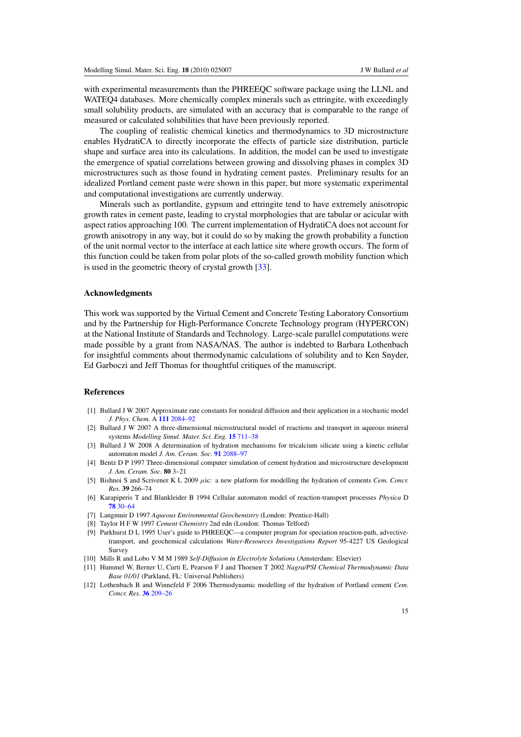<span id="page-14-0"></span>with experimental measurements than the PHREEQC software package using the LLNL and WATEQ4 databases. More chemically complex minerals such as ettringite, with exceedingly small solubility products, are simulated with an accuracy that is comparable to the range of measured or calculated solubilities that have been previously reported.

The coupling of realistic chemical kinetics and thermodynamics to 3D microstructure enables HydratiCA to directly incorporate the effects of particle size distribution, particle shape and surface area into its calculations. In addition, the model can be used to investigate the emergence of spatial correlations between growing and dissolving phases in complex 3D microstructures such as those found in hydrating cement pastes. Preliminary results for an idealized Portland cement paste were shown in this paper, but more systematic experimental and computational investigations are currently underway.

Minerals such as portlandite, gypsum and ettringite tend to have extremely anisotropic growth rates in cement paste, leading to crystal morphologies that are tabular or acicular with aspect ratios approaching 100. The current implementation of HydratiCA does not account for growth anisotropy in any way, but it could do so by making the growth probability a function of the unit normal vector to the interface at each lattice site where growth occurs. The form of this function could be taken from polar plots of the so-called growth mobility function which is used in the geometric theory of crystal growth [\[33\]](#page-15-0).

### **Acknowledgments**

This work was supported by the Virtual Cement and Concrete Testing Laboratory Consortium and by the Partnership for High-Performance Concrete Technology program (HYPERCON) at the National Institute of Standards and Technology. Large-scale parallel computations were made possible by a grant from NASA/NAS. The author is indebted to Barbara Lothenbach for insightful comments about thermodynamic calculations of solubility and to Ken Snyder, Ed Garboczi and Jeff Thomas for thoughtful critiques of the manuscript.

#### **References**

- [1] Bullard J W 2007 Approximate rate constants for nonideal diffusion and their application in a stochastic model *J. Phys. Chem.* A **111** [2084–92](http://dx.doi.org/10.1021/jp0658391)
- [2] Bullard J W 2007 A three-dimensional microstructural model of reactions and transport in aqueous mineral systems *Modelling Simul. Mater. Sci. Eng.* **15** [711–38](http://dx.doi.org/10.1088/0965-0393/15/7/002)
- [3] Bullard J W 2008 A determination of hydration mechanisms for tricalcium silicate using a kinetic cellular automaton model *J. Am. Ceram. Soc.* **91** [2088–97](http://dx.doi.org/10.1111/j.1551-2916.2008.02419.x)
- [4] Bentz D P 1997 Three-dimensional computer simulation of cement hydration and microstructure development *J. Am. Ceram. Soc.* **80** 3–21
- [5] Bishnoi S and Scrivener K L 2009 *µ*ic: a new platform for modelling the hydration of cements *Cem. Concr. Res.* **39** 266–74
- [6] Karapiperis T and Blankleider B 1994 Cellular automaton model of reaction-transport processes *Physica* D **78** [30–64](http://dx.doi.org/10.1016/0167-2789(94)00093-X)
- [7] Langmuir D 1997 *Aqueous Environmental Geochemistry* (London: Prentice-Hall)
- [8] TaylorHFW 1997 *Cement Chemistry* 2nd edn (London: Thomas Telford)
- [9] Parkhurst D L 1995 User's guide to PHREEQC—a computer program for speciation reaction-path, advectivetransport, and geochemical calculations *Water-Resources Investigations Report* 95-4227 US Geological Survey
- [10] Mills R and Lobo V M M 1989 *Self-Diffusion in Electrolyte Solutions* (Amsterdam: Elsevier)
- [11] Hummel W, Berner U, Curti E, Pearson F J and Thoenen T 2002 *Nagra/PSI Chemical Thermodynamic Data Base 01/01* (Parkland, FL: Universal Publishers)
- [12] Lothenbach B and Winnefeld F 2006 Thermodynamic modelling of the hydration of Portland cement *Cem. Concr. Res.* **36** [209–26](http://dx.doi.org/10.1016/j.cemconres.2005.03.001)